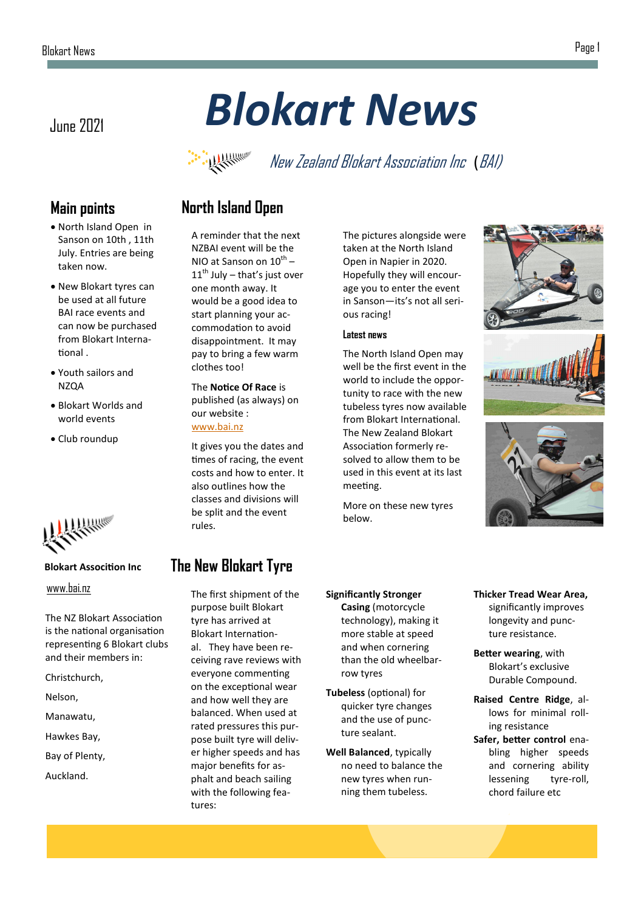## June 2021 *Blokart News*



New Zealand Blokart Association Inc (BAI)

## **Main points**

- North Island Open in Sanson on 10th , 11th July. Entries are being taken now.
- New Blokart tyres can be used at all future BAI race events and can now be purchased from Blokart International .
- Youth sailors and NZQA
- Blokart Worlds and world events
- Club roundup



#### **Blokart Assocition Inc**

[www.bai.nz](http://www.bai.nz)

The NZ Blokart Association is the national organisation representing 6 Blokart clubs and their members in:

Christchurch,

Nelson,

Manawatu,

Hawkes Bay,

Bay of Plenty,

Auckland.

## **North Island Open**

A reminder that the next NZBAI event will be the NIO at Sanson on  $10^{th}$  –  $11<sup>th</sup>$  July – that's just over one month away. It would be a good idea to start planning your accommodation to avoid disappointment. It may pay to bring a few warm clothes too!

The **Notice Of Race** is published (as always) on our website : [www.bai.nz](https://bai.nz/2021-north-island-open/)

It gives you the dates and times of racing, the event costs and how to enter. It also outlines how the classes and divisions will be split and the event rules.

## **The New Blokart Tyre**

The first shipment of the purpose built Blokart tyre has arrived at Blokart International. They have been receiving rave reviews with everyone commenting on the exceptional wear and how well they are balanced. When used at rated pressures this purpose built tyre will deliver higher speeds and has major benefits for asphalt and beach sailing with the following features:

The pictures alongside were taken at the North Island Open in Napier in 2020. Hopefully they will encourage you to enter the event in Sanson—its's not all serious racing!

#### **Latest news**

The North Island Open may well be the first event in the world to include the opportunity to race with the new tubeless tyres now available from Blokart International. The New Zealand Blokart Association formerly resolved to allow them to be used in this event at its last meeting.

More on these new tyres below.







- **Significantly Stronger Casing** (motorcycle technology), making it more stable at speed and when cornering than the old wheelbarrow tyres
- **Tubeless** (optional) for quicker tyre changes and the use of puncture sealant.
- **Well Balanced**, typically no need to balance the new tyres when running them tubeless.
- **Thicker Tread Wear Area,**  significantly improves longevity and puncture resistance.
- **Better wearing**, with Blokart's exclusive Durable Compound.
- **Raised Centre Ridge**, allows for minimal rolling resistance
- **Safer, better control** enabling higher speeds and cornering ability lessening tyre-roll, chord failure etc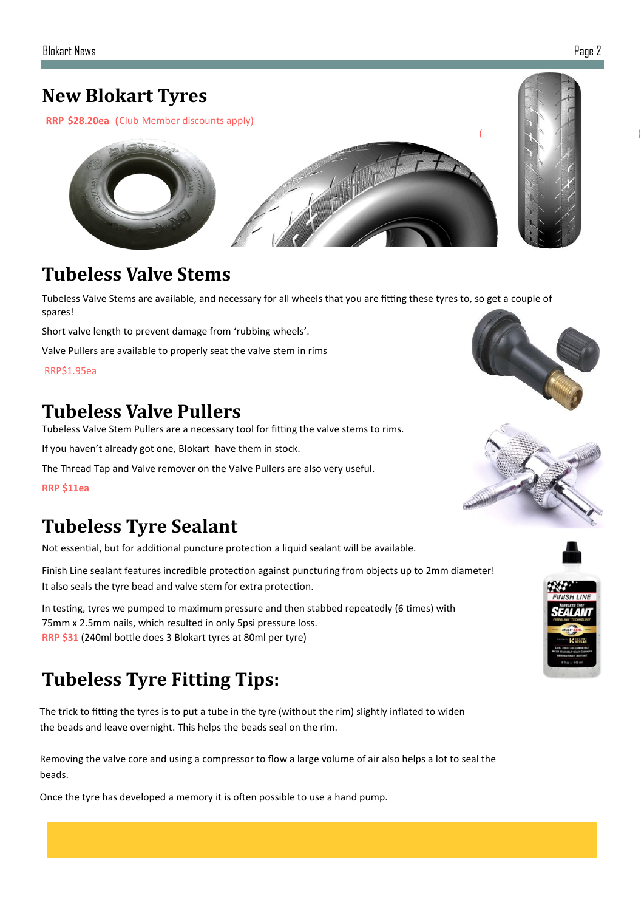RRP \$28.20ea (Club Member discounts apply)



## **Tubeless Valve Stems**

Tubeless Valve Stems are available, and necessary for all wheels that you are fitting these tyres to, so get a couple of spares!

Short valve length to prevent damage from 'rubbing wheels'.

Valve Pullers are available to properly seat the valve stem in rims

RRP\$1.95ea

## **Tubeless Valve Pullers**

Tubeless Valve Stem Pullers are a necessary tool for fitting the valve stems to rims.

If you haven't already got one, Blokart have them in stock.

The Thread Tap and Valve remover on the Valve Pullers are also very useful.

**RRP \$11ea** 

## **Tubeless Tyre Sealant**

Not essential, but for additional puncture protection a liquid sealant will be available.

Finish Line sealant features incredible protection against puncturing from objects up to 2mm diameter! It also seals the tyre bead and valve stem for extra protection.

In testing, tyres we pumped to maximum pressure and then stabbed repeatedly (6 times) with 75mm x 2.5mm nails, which resulted in only 5psi pressure loss. **RRP \$31** (240ml bottle does 3 Blokart tyres at 80ml per tyre)

## **Tubeless Tyre Fitting Tips:**

The trick to fitting the tyres is to put a tube in the tyre (without the rim) slightly inflated to widen the beads and leave overnight. This helps the beads seal on the rim.

Removing the valve core and using a compressor to flow a large volume of air also helps a lot to seal the beads.

Once the tyre has developed a memory it is often possible to use a hand pump.